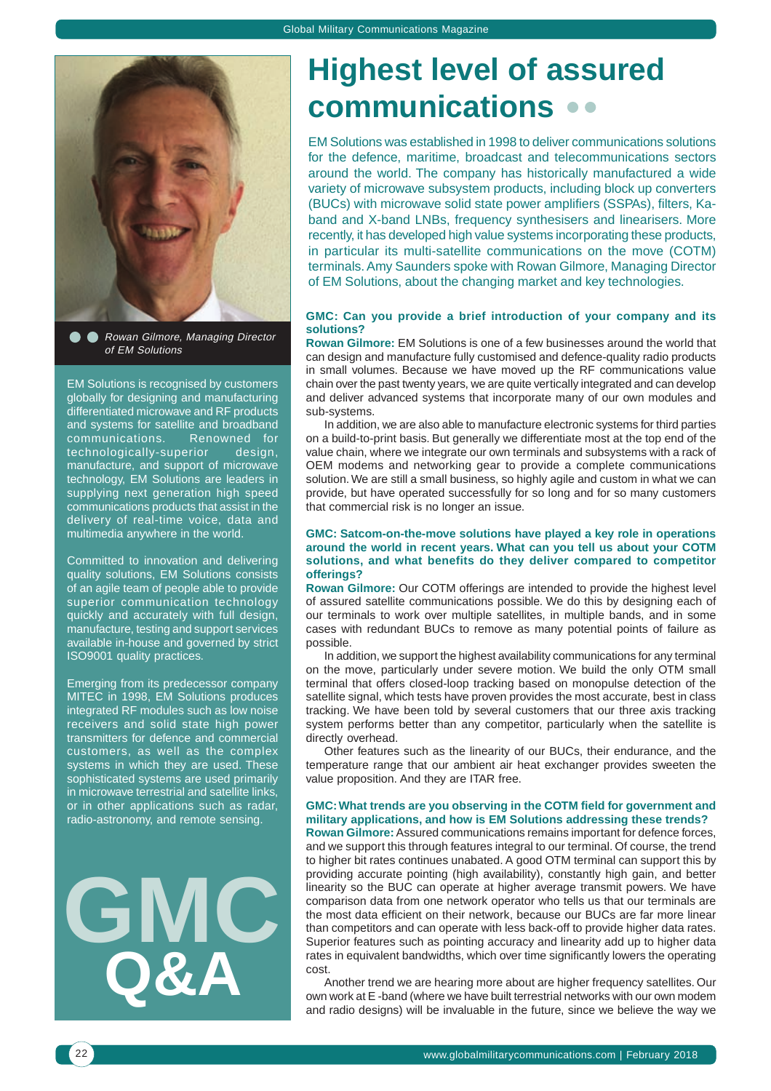

**A** Rowan Gilmore, Managing Director of EM Solutions

EM Solutions is recognised by customers globally for designing and manufacturing differentiated microwave and RF products and systems for satellite and broadband communications. Renowned for technologically-superior design, manufacture, and support of microwave technology, EM Solutions are leaders in supplying next generation high speed communications products that assist in the delivery of real-time voice, data and multimedia anywhere in the world.

Committed to innovation and delivering quality solutions, EM Solutions consists of an agile team of people able to provide superior communication technology quickly and accurately with full design, manufacture, testing and support services available in-house and governed by strict ISO9001 quality practices.

Emerging from its predecessor company MITEC in 1998, EM Solutions produces integrated RF modules such as low noise receivers and solid state high power transmitters for defence and commercial customers, as well as the complex systems in which they are used. These sophisticated systems are used primarily in microwave terrestrial and satellite links, or in other applications such as radar, radio-astronomy, and remote sensing.



## **Highest level of assured communications**

EM Solutions was established in 1998 to deliver communications solutions for the defence, maritime, broadcast and telecommunications sectors around the world. The company has historically manufactured a wide variety of microwave subsystem products, including block up converters (BUCs) with microwave solid state power amplifiers (SSPAs), filters, Kaband and X-band LNBs, frequency synthesisers and linearisers. More recently, it has developed high value systems incorporating these products, in particular its multi-satellite communications on the move (COTM) terminals. Amy Saunders spoke with Rowan Gilmore, Managing Director of EM Solutions, about the changing market and key technologies.

### **GMC: Can you provide a brief introduction of your company and its solutions?**

**Rowan Gilmore:** EM Solutions is one of a few businesses around the world that can design and manufacture fully customised and defence-quality radio products in small volumes. Because we have moved up the RF communications value chain over the past twenty years, we are quite vertically integrated and can develop and deliver advanced systems that incorporate many of our own modules and sub-systems.

In addition, we are also able to manufacture electronic systems for third parties on a build-to-print basis. But generally we differentiate most at the top end of the value chain, where we integrate our own terminals and subsystems with a rack of OEM modems and networking gear to provide a complete communications solution. We are still a small business, so highly agile and custom in what we can provide, but have operated successfully for so long and for so many customers that commercial risk is no longer an issue.

#### **GMC: Satcom-on-the-move solutions have played a key role in operations around the world in recent years. What can you tell us about your COTM solutions, and what benefits do they deliver compared to competitor offerings?**

**Rowan Gilmore:** Our COTM offerings are intended to provide the highest level of assured satellite communications possible. We do this by designing each of our terminals to work over multiple satellites, in multiple bands, and in some cases with redundant BUCs to remove as many potential points of failure as possible.

In addition, we support the highest availability communications for any terminal on the move, particularly under severe motion. We build the only OTM small terminal that offers closed-loop tracking based on monopulse detection of the satellite signal, which tests have proven provides the most accurate, best in class tracking. We have been told by several customers that our three axis tracking system performs better than any competitor, particularly when the satellite is directly overhead.

Other features such as the linearity of our BUCs, their endurance, and the temperature range that our ambient air heat exchanger provides sweeten the value proposition. And they are ITAR free.

## **GMC: What trends are you observing in the COTM field for government and military applications, and how is EM Solutions addressing these trends?**

**Rowan Gilmore:** Assured communications remains important for defence forces, and we support this through features integral to our terminal. Of course, the trend to higher bit rates continues unabated. A good OTM terminal can support this by providing accurate pointing (high availability), constantly high gain, and better linearity so the BUC can operate at higher average transmit powers. We have comparison data from one network operator who tells us that our terminals are the most data efficient on their network, because our BUCs are far more linear than competitors and can operate with less back-off to provide higher data rates. Superior features such as pointing accuracy and linearity add up to higher data rates in equivalent bandwidths, which over time significantly lowers the operating cost.

Another trend we are hearing more about are higher frequency satellites. Our own work at E -band (where we have built terrestrial networks with our own modem and radio designs) will be invaluable in the future, since we believe the way we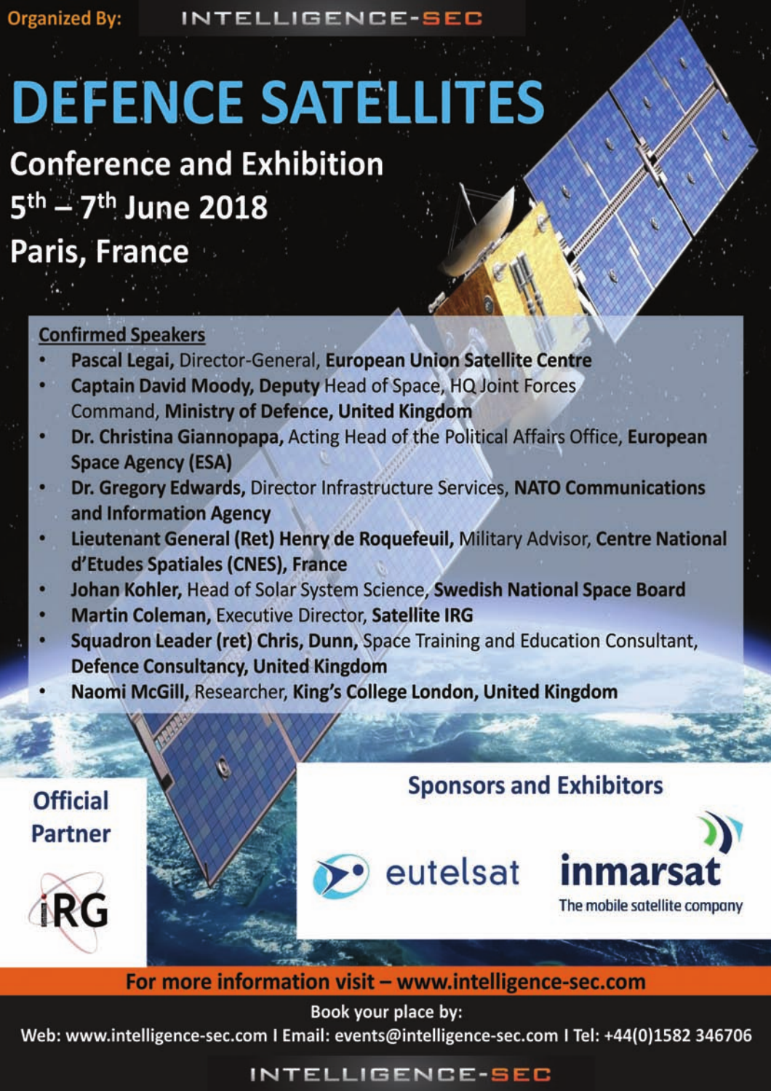**INTELLIGENCE-SEC** 

# **DEFENCE SATELLITES**

## **Conference and Exhibition** 5<sup>th</sup> - 7<sup>th</sup> June 2018

# Paris, France

## **Confirmed Speakers**

- Pascal Legai, Director-General, European Union Satellite Centre
- Captain David Moody, Deputy Head of Space, HQ Joint Forces **Command, Ministry of Defence, United Kingdom**
- Dr. Christina Giannopapa, Acting Head of the Political Affairs Office, European **Space Agency (ESA)**
- Dr. Gregory Edwards, Director Infrastructure Services, NATO Communications and Information Agency
- Lieutenant General (Ret) Henry de Roquefeuil, Military Advisor, Centre National d'Etudes Spatiales (CNES), France
- Johan Kohler, Head of Solar System Science, Swedish National Space Board
- **Martin Coleman, Executive Director, Satellite IRG**
- Squadron Leader (ret) Chris, Dunn, Space Training and Education Consultant, **Defence Consultancy, United Kingdom**
- Naomi McGill, Researcher, King's College London, United Kingdom

## **Sponsors and Exhibitors**











For more information visit - www.intelligence-sec.com

Book your place by:

Web: www.intelligence-sec.com I Email: events@intelligence-sec.com I Tel: +44(0)1582 346706

## INTELLIGENCE-SEC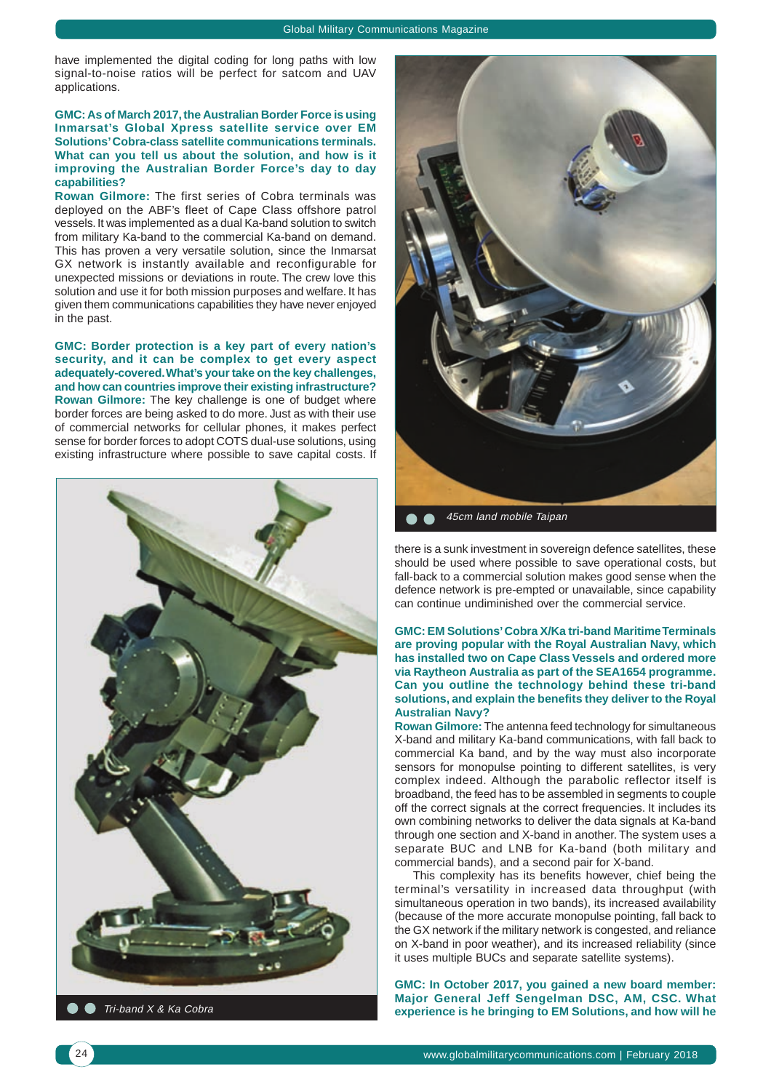have implemented the digital coding for long paths with low signal-to-noise ratios will be perfect for satcom and UAV applications.

#### **GMC: As of March 2017, the Australian Border Force is using Inmarsat's Global Xpress satellite service over EM Solutions' Cobra-class satellite communications terminals. What can you tell us about the solution, and how is it improving the Australian Border Force's day to day capabilities?**

**Rowan Gilmore:** The first series of Cobra terminals was deployed on the ABF's fleet of Cape Class offshore patrol vessels. It was implemented as a dual Ka-band solution to switch from military Ka-band to the commercial Ka-band on demand. This has proven a very versatile solution, since the Inmarsat GX network is instantly available and reconfigurable for unexpected missions or deviations in route. The crew love this solution and use it for both mission purposes and welfare. It has given them communications capabilities they have never enjoyed in the past.

**GMC: Border protection is a key part of every nation's security, and it can be complex to get every aspect adequately-covered. What's your take on the key challenges, and how can countries improve their existing infrastructure? Rowan Gilmore:** The key challenge is one of budget where border forces are being asked to do more. Just as with their use of commercial networks for cellular phones, it makes perfect sense for border forces to adopt COTS dual-use solutions, using existing infrastructure where possible to save capital costs. If





45cm land mobile Taipan

there is a sunk investment in sovereign defence satellites, these should be used where possible to save operational costs, but fall-back to a commercial solution makes good sense when the defence network is pre-empted or unavailable, since capability can continue undiminished over the commercial service.

#### **GMC: EM Solutions' Cobra X/Ka tri-band Maritime Terminals are proving popular with the Royal Australian Navy, which has installed two on Cape Class Vessels and ordered more via Raytheon Australia as part of the SEA1654 programme. Can you outline the technology behind these tri-band solutions, and explain the benefits they deliver to the Royal Australian Navy?**

**Rowan Gilmore:** The antenna feed technology for simultaneous X-band and military Ka-band communications, with fall back to commercial Ka band, and by the way must also incorporate sensors for monopulse pointing to different satellites, is very complex indeed. Although the parabolic reflector itself is broadband, the feed has to be assembled in segments to couple off the correct signals at the correct frequencies. It includes its own combining networks to deliver the data signals at Ka-band through one section and X-band in another. The system uses a separate BUC and LNB for Ka-band (both military and commercial bands), and a second pair for X-band.

This complexity has its benefits however, chief being the terminal's versatility in increased data throughput (with simultaneous operation in two bands), its increased availability (because of the more accurate monopulse pointing, fall back to the GX network if the military network is congested, and reliance on X-band in poor weather), and its increased reliability (since it uses multiple BUCs and separate satellite systems).

**GMC: In October 2017, you gained a new board member: Major General Jeff Sengelman DSC, AM, CSC. What**